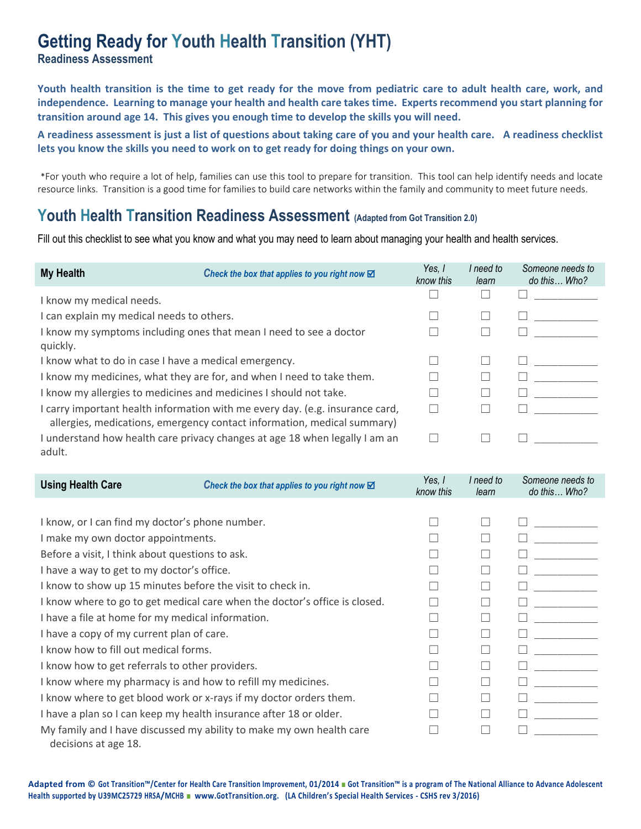# **Getting Ready for Youth Health Transition (YHT)**

**Readiness Assessment**

**Youth health transition is the time to get ready for the move from pediatric care to adult health care, work, and independence. Learning to manage your health and health care takes time. Experts recommend you start planning for transition around age 14. This gives you enough time to develop the skills you will need.** 

**A readiness assessment is just a list of questions about taking care of you and your health care. A readiness checklist lets you know the skills you need to work on to get ready for doing things on your own.**

\*For youth who require a lot of help, families can use this tool to prepare for transition. This tool can help identify needs and locate resource links. Transition is a good time for families to build care networks within the family and community to meet future needs.

## **Youth Health Transition Readiness Assessment (Adapted from Got Transition 2.0)**

Fill out this checklist to see what you know and what you may need to learn about managing your health and health services.

| <b>My Health</b>                                                   | Check the box that applies to you right now $\boxtimes$                                                                                                  | Yes.<br>know this | I need to<br>learn | Someone needs to<br>do this Who? |
|--------------------------------------------------------------------|----------------------------------------------------------------------------------------------------------------------------------------------------------|-------------------|--------------------|----------------------------------|
| I know my medical needs.                                           |                                                                                                                                                          |                   |                    |                                  |
| I can explain my medical needs to others.                          |                                                                                                                                                          |                   |                    |                                  |
| I know my symptoms including ones that mean I need to see a doctor |                                                                                                                                                          |                   |                    |                                  |
| quickly.                                                           |                                                                                                                                                          |                   |                    |                                  |
| I know what to do in case I have a medical emergency.              |                                                                                                                                                          |                   |                    |                                  |
|                                                                    | I know my medicines, what they are for, and when I need to take them.                                                                                    |                   |                    |                                  |
|                                                                    | I know my allergies to medicines and medicines I should not take.                                                                                        |                   |                    |                                  |
|                                                                    | I carry important health information with me every day. (e.g. insurance card,<br>allergies, medications, emergency contact information, medical summary) |                   |                    |                                  |
| adult.                                                             | I understand how health care privacy changes at age 18 when legally I am an                                                                              |                   |                    |                                  |

| <b>Using Health Care</b>                                                   | Check the box that applies to you right now $\boxtimes$              | Yes, I<br>know this | I need to<br>learn       | Someone needs to<br>do this Who? |
|----------------------------------------------------------------------------|----------------------------------------------------------------------|---------------------|--------------------------|----------------------------------|
|                                                                            |                                                                      |                     |                          |                                  |
| I know, or I can find my doctor's phone number.                            |                                                                      |                     |                          |                                  |
| I make my own doctor appointments.                                         |                                                                      |                     |                          |                                  |
| Before a visit, I think about questions to ask.                            |                                                                      |                     |                          |                                  |
| I have a way to get to my doctor's office.                                 |                                                                      |                     | $\mathsf{L}$             |                                  |
| I know to show up 15 minutes before the visit to check in.                 |                                                                      |                     |                          |                                  |
| I know where to go to get medical care when the doctor's office is closed. |                                                                      |                     |                          |                                  |
| I have a file at home for my medical information.                          |                                                                      |                     |                          |                                  |
| I have a copy of my current plan of care.                                  |                                                                      |                     |                          |                                  |
| I know how to fill out medical forms.                                      |                                                                      |                     |                          |                                  |
| I know how to get referrals to other providers.                            |                                                                      |                     | $\overline{\phantom{0}}$ |                                  |
| I know where my pharmacy is and how to refill my medicines.                |                                                                      |                     | $\overline{\phantom{a}}$ |                                  |
|                                                                            | I know where to get blood work or x-rays if my doctor orders them.   |                     |                          |                                  |
| I have a plan so I can keep my health insurance after 18 or older.         |                                                                      |                     |                          |                                  |
| decisions at age 18.                                                       | My family and I have discussed my ability to make my own health care |                     |                          |                                  |